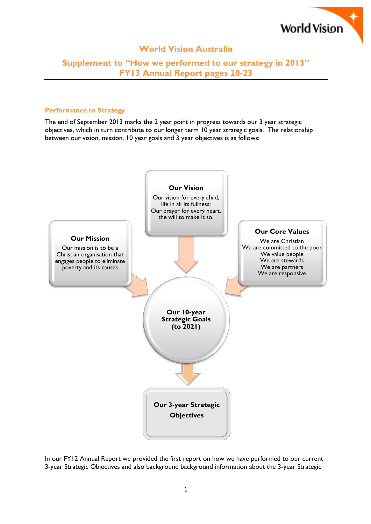

## **World Vision Australia**

# **Supplement to "How we performed to our strategy in 2013" FY13 Annual Report pages 20-23**

### **Performance to Strategy**

The end of September 2013 marks the 2 year point in progress towards our 3 year strategic objectives, which in turn contribute to our longer term 10 year strategic goals. The relationship between our vision, mission, 10 year goals and 3 year objectives is as follows:



In our FY12 Annual Report we provided the first report on how we have performed to our current 3-year Strategic Objectives and also background background information about the 3-year Strategic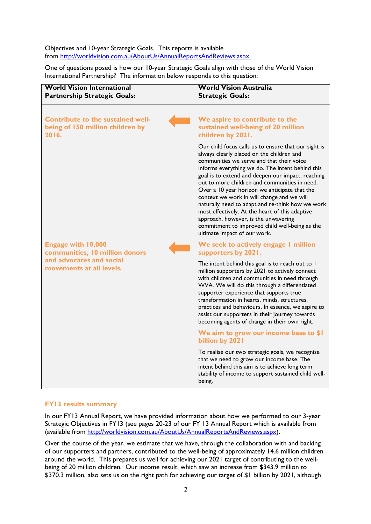### Objectives and 10-year Strategic Goals. This reports is available from [http://worldvision.com.au/AboutUs/AnnualReportsAndReviews.aspx.](http://worldvision.com.au/AboutUs/AnnualReportsAndReviews.aspx)

One of questions posed is how our 10-year Strategic Goals align with those of the World Vision International Partnership? The information below responds to this question:



#### **FY13 results summary**

In our FY13 Annual Report, we have provided information about how we performed to our 3-year Strategic Objectives in FY13 (see pages 20-23 of our FY 13 Annual Report which is available from (available from [http://worldvision.com.au/AboutUs/AnnualReportsAndReviews.aspx\)](http://worldvision.com.au/AboutUs/AnnualReportsAndReviews.aspx).

Over the course of the year, we estimate that we have, through the collaboration with and backing of our supporters and partners, contributed to the well-being of approximately 14.6 million children around the world. This prepares us well for achieving our 2021 target of contributing to the wellbeing of 20 million children. Our income result, which saw an increase from \$343.9 million to \$370.3 million, also sets us on the right path for achieving our target of \$1 billion by 2021, although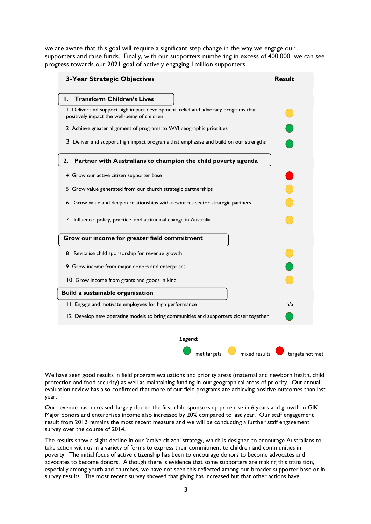we are aware that this goal will require a significant step change in the way we engage our supporters and raise funds. Finally, with our supporters numbering in excess of 400,000 we can see progress towards our 2021 goal of actively engaging 1million supporters.

| <b>3-Year Strategic Objectives</b>                                                                                               | <b>Result</b>   |
|----------------------------------------------------------------------------------------------------------------------------------|-----------------|
| <b>Transform Children's Lives</b><br>ı.                                                                                          |                 |
| I Deliver and support high impact development, relief and advocacy programs that<br>positively impact the well-being of children |                 |
| 2 Achieve greater alignment of programs to WVI geographic priorities                                                             |                 |
| 3 Deliver and support high impact programs that emphasise and build on our strengths                                             |                 |
| Partner with Australians to champion the child poverty agenda<br>2.                                                              |                 |
| 4 Grow our active citizen supporter base                                                                                         |                 |
| 5 Grow value generated from our church strategic partnerships                                                                    |                 |
| 6 Grow value and deepen relationships with resources sector strategic partners                                                   |                 |
| Influence policy, practice and attitudinal change in Australia<br>7                                                              |                 |
| Grow our income for greater field commitment                                                                                     |                 |
| 8 Revitalise child sponsorship for revenue growth                                                                                |                 |
| 9 Grow income from major donors and enterprises                                                                                  |                 |
| 10 Grow income from grants and goods in kind                                                                                     |                 |
| Build a sustainable organisation                                                                                                 |                 |
| 11 Engage and motivate employees for high performance                                                                            | n/a             |
| 12 Develop new operating models to bring communities and supporters closer together                                              |                 |
| Legend:                                                                                                                          |                 |
| mixed results<br>met targets                                                                                                     | targets not met |

We have seen good results in field program evaluations and priority areas (maternal and newborn health, child protection and food security) as well as maintaining funding in our geographical areas of priority. Our annual evaluation review has also confirmed that more of our field programs are achieving positive outcomes than last year.

Our revenue has increased, largely due to the first child sponsorship price rise in 6 years and growth in GIK. Major donors and enterprises income also increased by 20% compared to last year. Our staff engagement result from 2012 remains the most recent measure and we will be conducting a further staff engagement survey over the course of 2014.

The results show a slight decline in our 'active citizen' strategy, which is designed to encourage Australians to take action with us in a variety of forms to express their commitment to children and communities in poverty. The initial focus of active citizenship has been to encourage donors to become advocates and advocates to become donors. Although there is evidence that some supporters are making this transition, especially among youth and churches, we have not seen this reflected among our broader supporter base or in survey results. The most recent survey showed that giving has increased but that other actions have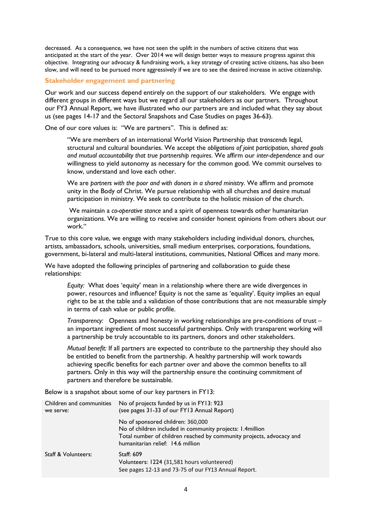decreased. As a consequence, we have not seen the uplift in the numbers of active citizens that was anticipated at the start of the year. Over 2014 we will design better ways to measure progress against this objective. Integrating our advocacy & fundraising work, a key strategy of creating active citizens, has also been slow, and will need to be pursued more aggressively if we are to see the desired increase in active citizenship.

### **Stakeholder engagement and partnering**

Our work and our success depend entirely on the support of our stakeholders. We engage with different groups in different ways but we regard all our stakeholders as our partners. Throughout our FY3 Annual Report, we have illustrated who our partners are and included what they say about us (see pages 14-17 and the Sectoral Snapshots and Case Studies on pages 36-63).

One of our core values is: "We are partners". This is defined as:

"We are members of an international World Vision Partnership that *transcends* legal, structural and cultural boundaries. We accept the *obligations of joint participation*, *shared goals and mutual accountability that true partnership requires*. We affirm our *inter-dependence* and our willingness to yield autonomy as necessary for the common good. We commit ourselves to know, understand and love each other.

We are *partners with the poor and with donors in a shared ministry*. We affirm and promote unity in the Body of Christ. We pursue relationship with all churches and desire mutual participation in ministry. We seek to contribute to the holistic mission of the church.

We maintain a *co-operative stance* and a spirit of openness towards other humanitarian organizations. We are willing to receive and consider honest opinions from others about our work."

True to this core value, we engage with many stakeholders including individual donors, churches, artists, ambassadors, schools, universities, small medium enterprises, corporations, foundations, government, bi-lateral and multi-lateral institutions, communities, National Offices and many more.

We have adopted the following principles of partnering and collaboration to guide these relationships:

*Equity:* What does 'equity' mean in a relationship where there are wide divergences in power, resources and influence? Equity is not the same as 'equality'. Equity implies an equal right to be at the table and a validation of those contributions that are not measurable simply in terms of cash value or public profile.

*Transparency:* Openness and honesty in working relationships are pre-conditions of trust – an important ingredient of most successful partnerships. Only with transparent working will a partnership be truly accountable to its partners, donors and other stakeholders.

*Mutual benefit:* If all partners are expected to contribute to the partnership they should also be entitled to benefit from the partnership. A healthy partnership will work towards achieving specific benefits for each partner over and above the common benefits to all partners. Only in this way will the partnership ensure the continuing commitment of partners and therefore be sustainable.

Below is a snapshot about some of our key partners in FY13:

| Children and communities<br>we serve: | No of projects funded by us in FY13: 923<br>(see pages 31-33 of our FY13 Annual Report)                                                                                                                      |
|---------------------------------------|--------------------------------------------------------------------------------------------------------------------------------------------------------------------------------------------------------------|
|                                       | No of sponsored children: 360,000<br>No of children included in community projects: 1.4 million<br>Total number of children reached by community projects, advocacy and<br>humanitarian relief: 14.6 million |
| <b>Staff &amp; Volunteers:</b>        | Staff: 609<br>Volunteers: 1224 (31,581 hours volunteered)<br>See pages 12-13 and 73-75 of our FY13 Annual Report.                                                                                            |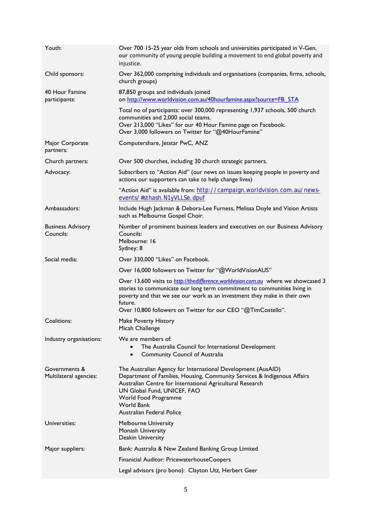| Youth:                                  | Over 700 15-25 year olds from schools and universities participated in V-Gen,<br>our community of young people building a movement to end global poverty and<br>injustice.                                                                                                                                            |
|-----------------------------------------|-----------------------------------------------------------------------------------------------------------------------------------------------------------------------------------------------------------------------------------------------------------------------------------------------------------------------|
| Child sponsors:                         | Over 362,000 comprising individuals and organisations (companies, firms, schools,<br>church groups)                                                                                                                                                                                                                   |
| 40 Hour Famine<br>participants:         | 87,850 groups and individuals joined<br>on http://www.worldvision.com.au/40hourfamine.aspx?source=FB_STA                                                                                                                                                                                                              |
|                                         | Total no of participants: over 300,000 representing 1,937 schools, 500 church<br>communities and 2,000 social teams.<br>Over 213,000 "Likes" for our 40 Hour Famine page on Facebook.<br>Over 3,000 followers on Twitter for "@40HourFamine"                                                                          |
| Major Corporate<br>partners:            | Computershare, Jetstar PwC, ANZ                                                                                                                                                                                                                                                                                       |
| Church partners:                        | Over 500 churches, including 30 church strategic partners.                                                                                                                                                                                                                                                            |
| Advocacy:                               | Subscribers to "Action Aid" (our news on issues keeping people in poverty and<br>actions our supporters can take to help change lives)                                                                                                                                                                                |
|                                         | "Action Aid" is available from: http://campaign.worldvision.com.au/news-<br>events/#sthash.N1yVLLSe.dpuf                                                                                                                                                                                                              |
| Ambassadors:                            | Include Hugh Jackman & Debora-Lee Furness, Melissa Doyle and Vision Artists<br>such as Melbourne Gospel Choir.                                                                                                                                                                                                        |
| <b>Business Advisory</b><br>Councils:   | Number of prominent business leaders and executives on our Business Advisory<br>Councils:<br>Melbourne: 16<br>Sydney: 8                                                                                                                                                                                               |
| Social media:                           | Over 330,000 "Likes" on Facebook.                                                                                                                                                                                                                                                                                     |
|                                         | Over 16,000 followers on Twitter for "@WorldVisionAUS"                                                                                                                                                                                                                                                                |
|                                         | Over 13,600 visits to http://thedifference.worldvision.com.au where we showcased 3<br>stories to communicate our long term commitment to communities living in<br>poverty and that we see our work as an investment they make in their own<br>future.<br>Over 10,800 followers on Twitter for our CEO "@TimCostello". |
| Coalitions:                             | <b>Make Poverty History</b><br>Micah Challenge                                                                                                                                                                                                                                                                        |
| Industry organisations:                 | We are members of:<br>The Australia Council for International Development<br><b>Community Council of Australia</b><br>$\bullet$                                                                                                                                                                                       |
| Governments &<br>Multilateral agencies: | The Australian Agency for International Development (AusAID)<br>Department of Families, Housing, Community Services & Indigenous Affairs<br>Australian Centre for International Agricultural Research<br>UN Global Fund, UNICEF, FAO<br>World Food Programme<br><b>World Bank</b><br>Australian Federal Police        |
| Universities:                           | <b>Melbourne University</b><br>Monash University<br>Deakin University                                                                                                                                                                                                                                                 |
| Major suppliers:                        | Bank: Australia & New Zealand Banking Group Limited                                                                                                                                                                                                                                                                   |
|                                         | Finanicial Auditor: PricewaterhouseCoopers                                                                                                                                                                                                                                                                            |
|                                         | Legal advisors (pro bono): Clayton Utz, Herbert Geer                                                                                                                                                                                                                                                                  |